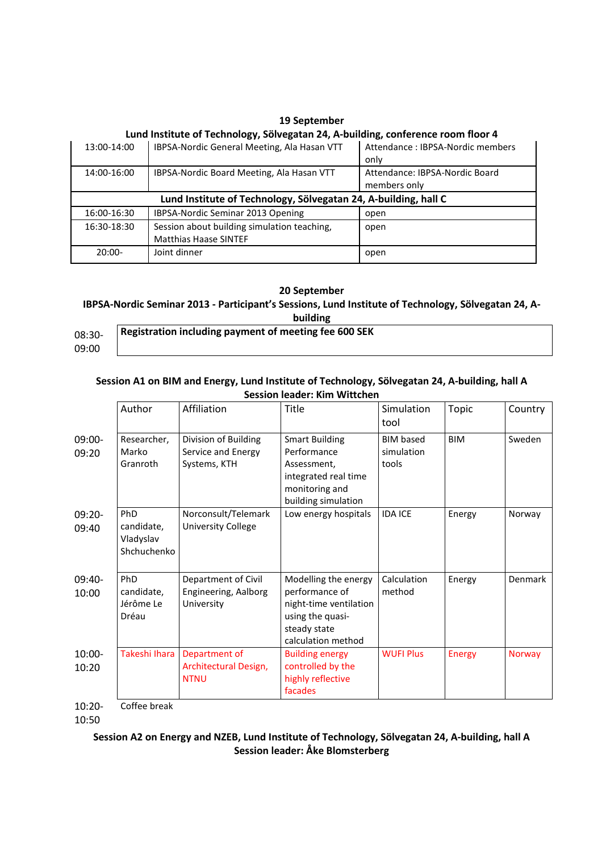|             | Lund Institute of Technology, Sölvegatan 24, A-building, conference room floor 4 |                                   |  |  |  |  |  |  |
|-------------|----------------------------------------------------------------------------------|-----------------------------------|--|--|--|--|--|--|
| 13:00-14:00 | IBPSA-Nordic General Meeting, Ala Hasan VTT                                      | Attendance : IBPSA-Nordic members |  |  |  |  |  |  |
|             |                                                                                  | only                              |  |  |  |  |  |  |
| 14:00-16:00 | IBPSA-Nordic Board Meeting, Ala Hasan VTT                                        | Attendance: IBPSA-Nordic Board    |  |  |  |  |  |  |
|             |                                                                                  | members only                      |  |  |  |  |  |  |
|             | Lund Institute of Technology, Sölvegatan 24, A-building, hall C                  |                                   |  |  |  |  |  |  |
| 16:00-16:30 | IBPSA-Nordic Seminar 2013 Opening                                                | open                              |  |  |  |  |  |  |
| 16:30-18:30 | Session about building simulation teaching,                                      | open                              |  |  |  |  |  |  |
|             | <b>Matthias Haase SINTEF</b>                                                     |                                   |  |  |  |  |  |  |
| $20:00-$    | Joint dinner                                                                     | open                              |  |  |  |  |  |  |
|             |                                                                                  |                                   |  |  |  |  |  |  |

# **19 September**

#### **20 September**

### **IBPSA-Nordic Seminar 2013 - Participant's Sessions, Lund Institute of Technology, Sölvegatan 24, Abuilding**

| 08:30- | Registration including payment of meeting fee 600 SEK |
|--------|-------------------------------------------------------|
| 09:00  |                                                       |

### **Session A1 on BIM and Energy, Lund Institute of Technology, Sölvegatan 24, A-building, hall A Session leader: Kim Wittchen**

|                    | Author                                        | Affiliation                                                | <b>Title</b>                                                                                                               | Simulation<br>tool                      | Topic         | Country       |
|--------------------|-----------------------------------------------|------------------------------------------------------------|----------------------------------------------------------------------------------------------------------------------------|-----------------------------------------|---------------|---------------|
| 09:00-<br>09:20    | Researcher,<br>Marko<br>Granroth              | Division of Building<br>Service and Energy<br>Systems, KTH | <b>Smart Building</b><br>Performance<br>Assessment,<br>integrated real time<br>monitoring and<br>building simulation       | <b>BIM</b> based<br>simulation<br>tools | <b>BIM</b>    | Sweden        |
| $09:20 -$<br>09:40 | PhD<br>candidate,<br>Vladyslav<br>Shchuchenko | Norconsult/Telemark<br><b>University College</b>           | Low energy hospitals                                                                                                       | <b>IDA ICE</b>                          | Energy        | Norway        |
| 09:40-<br>10:00    | PhD<br>candidate,<br>Jérôme Le<br>Dréau       | Department of Civil<br>Engineering, Aalborg<br>University  | Modelling the energy<br>performance of<br>night-time ventilation<br>using the quasi-<br>steady state<br>calculation method | Calculation<br>method                   | Energy        | Denmark       |
| $10:00-$<br>10:20  | Takeshi Ihara                                 | Department of<br>Architectural Design,<br><b>NTNU</b>      | <b>Building energy</b><br>controlled by the<br>highly reflective<br>facades                                                | <b>WUFI Plus</b>                        | <b>Energy</b> | <b>Norway</b> |

10:20- Coffee break

10:50

# **Session A2 on Energy and NZEB, Lund Institute of Technology, Sölvegatan 24, A-building, hall A Session leader: Åke Blomsterberg**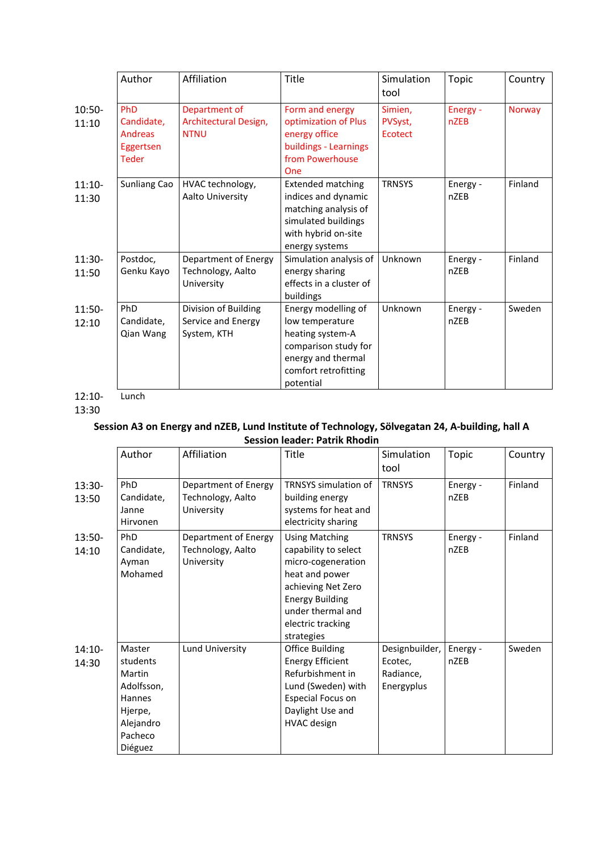|                   | Author                                                    | Affiliation                                               | Title                                                                                                                                         | Simulation<br>tool            | Topic                   | Country       |
|-------------------|-----------------------------------------------------------|-----------------------------------------------------------|-----------------------------------------------------------------------------------------------------------------------------------------------|-------------------------------|-------------------------|---------------|
| $10:50-$<br>11:10 | PhD<br>Candidate,<br>Andreas<br>Eggertsen<br><b>Teder</b> | Department of<br>Architectural Design,<br><b>NTNU</b>     | Form and energy<br>optimization of Plus<br>energy office<br>buildings - Learnings<br>from Powerhouse<br>One                                   | Simien,<br>PVSyst,<br>Ecotect | Energy -<br><b>nZEB</b> | <b>Norway</b> |
| $11:10-$<br>11:30 | Sunliang Cao                                              | HVAC technology,<br>Aalto University                      | <b>Extended matching</b><br>indices and dynamic<br>matching analysis of<br>simulated buildings<br>with hybrid on-site<br>energy systems       | <b>TRNSYS</b>                 | Energy -<br><b>nZEB</b> | Finland       |
| $11:30-$<br>11:50 | Postdoc,<br>Genku Kayo                                    | Department of Energy<br>Technology, Aalto<br>University   | Simulation analysis of<br>energy sharing<br>effects in a cluster of<br>buildings                                                              | Unknown                       | Energy -<br>nZEB        | Finland       |
| $11:50-$<br>12:10 | PhD<br>Candidate,<br>Qian Wang                            | Division of Building<br>Service and Energy<br>System, KTH | Energy modelling of<br>low temperature<br>heating system-A<br>comparison study for<br>energy and thermal<br>comfort retrofitting<br>potential | Unknown                       | Energy -<br><b>nZEB</b> | Sweden        |

12:10- **Lunch** 

13:30

# **Session A3 on Energy and nZEB, Lund Institute of Technology, Sölvegatan 24, A-building, hall A Session leader: Patrik Rhodin**

|                   | Author                                                                                             | Affiliation                                             | Title                                                                                                                                                                                         | Simulation<br>tool                                   | <b>Topic</b>            | Country |
|-------------------|----------------------------------------------------------------------------------------------------|---------------------------------------------------------|-----------------------------------------------------------------------------------------------------------------------------------------------------------------------------------------------|------------------------------------------------------|-------------------------|---------|
| 13:30-<br>13:50   | PhD<br>Candidate,<br>Janne<br>Hirvonen                                                             | Department of Energy<br>Technology, Aalto<br>University | <b>TRNSYS</b> simulation of<br>building energy<br>systems for heat and<br>electricity sharing                                                                                                 | <b>TRNSYS</b>                                        | Energy -<br><b>nZEB</b> | Finland |
| 13:50-<br>14:10   | PhD<br>Candidate,<br>Ayman<br>Mohamed                                                              | Department of Energy<br>Technology, Aalto<br>University | <b>Using Matching</b><br>capability to select<br>micro-cogeneration<br>heat and power<br>achieving Net Zero<br><b>Energy Building</b><br>under thermal and<br>electric tracking<br>strategies | <b>TRNSYS</b>                                        | Energy -<br>nZEB        | Finland |
| $14:10-$<br>14:30 | Master<br>students<br>Martin<br>Adolfsson,<br>Hannes<br>Hjerpe,<br>Alejandro<br>Pacheco<br>Diéguez | Lund University                                         | <b>Office Building</b><br><b>Energy Efficient</b><br>Refurbishment in<br>Lund (Sweden) with<br>Especial Focus on<br>Daylight Use and<br><b>HVAC</b> design                                    | Designbuilder,<br>Ecotec,<br>Radiance,<br>Energyplus | Energy -<br>nZEB        | Sweden  |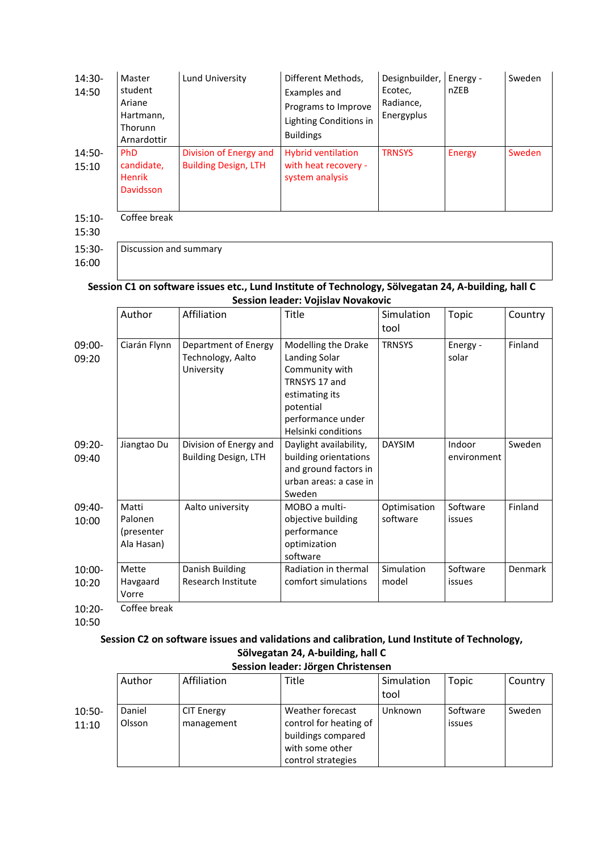| 14:30-<br>14:50   | Master<br>student<br>Ariane<br>Hartmann,<br>Thorunn<br>Arnardottir | Lund University                                       | Different Methods,<br>Examples and<br>Programs to Improve<br>Lighting Conditions in<br><b>Buildings</b> | Designbuilder,<br>Ecotec,<br>Radiance,<br>Energyplus | Energy -<br>nZEB | Sweden        |
|-------------------|--------------------------------------------------------------------|-------------------------------------------------------|---------------------------------------------------------------------------------------------------------|------------------------------------------------------|------------------|---------------|
| $14:50-$<br>15:10 | <b>PhD</b><br>candidate,<br><b>Henrik</b><br>Davidsson             | Division of Energy and<br><b>Building Design, LTH</b> | <b>Hybrid ventilation</b><br>with heat recovery -<br>system analysis                                    | <b>TRNSYS</b>                                        | <b>Energy</b>    | <b>Sweden</b> |
| $15:10-$<br>15:30 | Coffee break                                                       |                                                       |                                                                                                         |                                                      |                  |               |
| $15:30-$          | Discussion and summary                                             |                                                       |                                                                                                         |                                                      |                  |               |

16:00

# **Session C1 on software issues etc., Lund Institute of Technology, Sölvegatan 24, A-building, hall C Session leader: Vojislav Novakovic**

|                   | Author                                       | Affiliation                                             | Title                                                                                                                                              | Simulation<br>tool       | Topic                 | Country |
|-------------------|----------------------------------------------|---------------------------------------------------------|----------------------------------------------------------------------------------------------------------------------------------------------------|--------------------------|-----------------------|---------|
| $09:00-$<br>09:20 | Ciarán Flynn                                 | Department of Energy<br>Technology, Aalto<br>University | Modelling the Drake<br>Landing Solar<br>Community with<br>TRNSYS 17 and<br>estimating its<br>potential<br>performance under<br>Helsinki conditions | <b>TRNSYS</b>            | Energy -<br>solar     | Finland |
| 09:20-<br>09:40   | Jiangtao Du                                  | Division of Energy and<br><b>Building Design, LTH</b>   | Daylight availability,<br>building orientations<br>and ground factors in<br>urban areas: a case in<br>Sweden                                       | <b>DAYSIM</b>            | Indoor<br>environment | Sweden  |
| 09:40-<br>10:00   | Matti<br>Palonen<br>(presenter<br>Ala Hasan) | Aalto university                                        | MOBO a multi-<br>objective building<br>performance<br>optimization<br>software                                                                     | Optimisation<br>software | Software<br>issues    | Finland |
| 10:00-<br>10:20   | Mette<br>Havgaard<br>Vorre                   | Danish Building<br>Research Institute                   | Radiation in thermal<br>comfort simulations                                                                                                        | Simulation<br>model      | Software<br>issues    | Denmark |
| $10:20 -$         | Coffee break                                 |                                                         |                                                                                                                                                    |                          |                       |         |

10:50

#### **Session C2 on software issues and validations and calibration, Lund Institute of Technology, Sölvegatan 24, A-building, hall C Session leader: Jörgen Christensen**

|                   | Author           | Affiliation                     | Title                                                                                                     | Simulation<br>tool | Topic              | Country |  |  |
|-------------------|------------------|---------------------------------|-----------------------------------------------------------------------------------------------------------|--------------------|--------------------|---------|--|--|
| $10:50-$<br>11:10 | Daniel<br>Olsson | <b>CIT Energy</b><br>management | Weather forecast<br>control for heating of<br>buildings compared<br>with some other<br>control strategies | Unknown            | Software<br>issues | Sweden  |  |  |